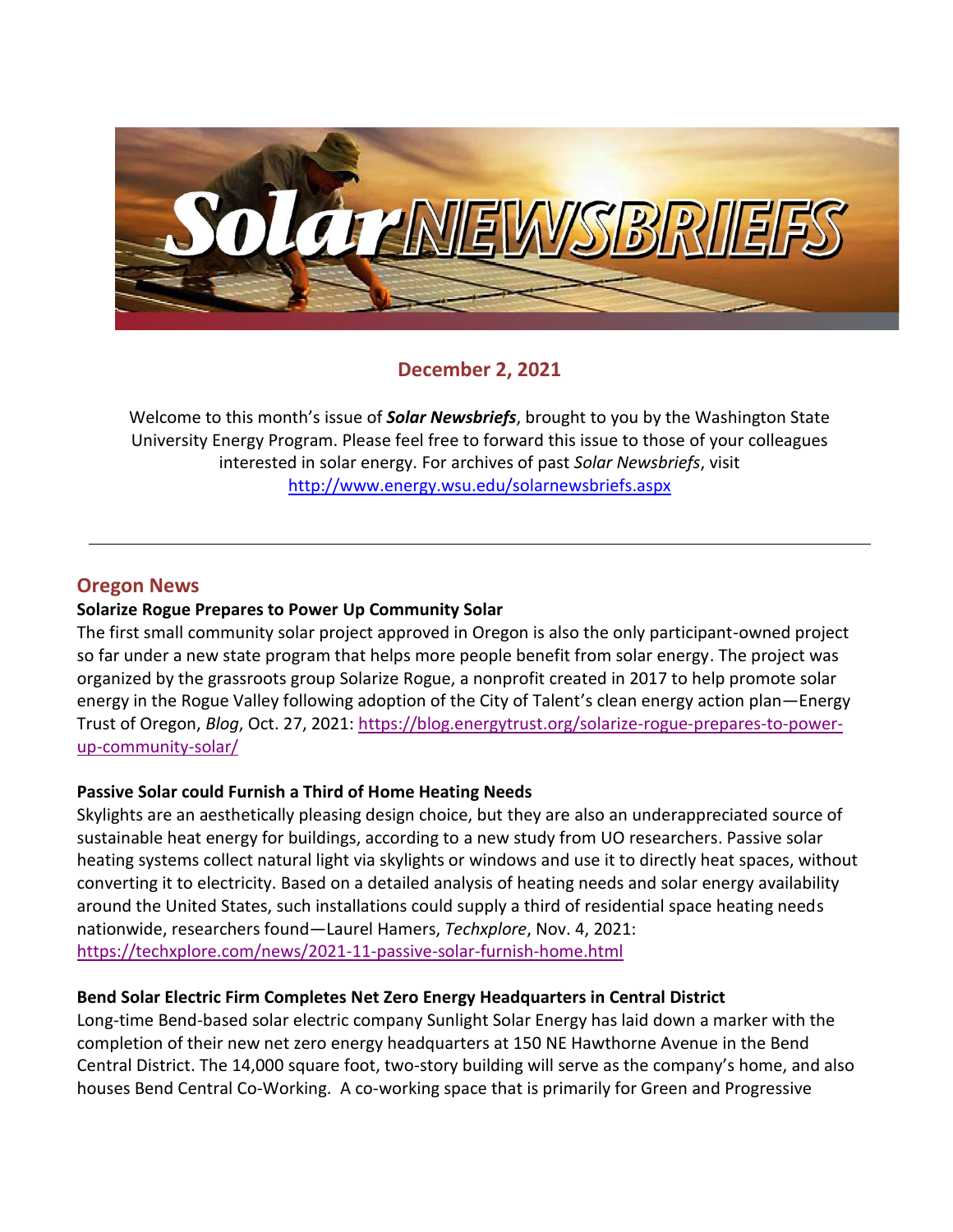

# **December 2, 2021**

Welcome to this month's issue of *Solar Newsbriefs*, brought to you by the Washington State University Energy Program. Please feel free to forward this issue to those of your colleagues interested in solar energy. For archives of past *Solar Newsbriefs*, visit <http://www.energy.wsu.edu/solarnewsbriefs.aspx>

# **Oregon News**

#### **Solarize Rogue Prepares to Power Up Community Solar**

The first small community solar project approved in Oregon is also the only participant-owned project so far under a new state program that helps more people benefit from solar energy. The project was organized by the grassroots group Solarize Rogue, a nonprofit created in 2017 to help promote solar energy in the Rogue Valley following adoption of the City of Talent's clean energy action plan—Energy Trust of Oregon, *Blog*, Oct. 27, 2021: [https://blog.energytrust.org/solarize-rogue-prepares-to-power](https://blog.energytrust.org/solarize-rogue-prepares-to-power-up-community-solar/)[up-community-solar/](https://blog.energytrust.org/solarize-rogue-prepares-to-power-up-community-solar/)

### **Passive Solar could Furnish a Third of Home Heating Needs**

Skylights are an aesthetically pleasing design choice, but they are also an underappreciated source of sustainable heat energy for buildings, according to a new study from UO researchers. Passive solar heating systems collect natural light via skylights or windows and use it to directly heat spaces, without converting it to electricity. Based on a detailed analysis of heating needs and solar energy availability around the United States, such installations could supply a third of residential space heating needs nationwide, researchers found—Laurel Hamers, *Techxplore*, Nov. 4, 2021: <https://techxplore.com/news/2021-11-passive-solar-furnish-home.html>

### **Bend Solar Electric Firm Completes Net Zero Energy Headquarters in Central District**

Long-time Bend-based solar electric company Sunlight Solar Energy has laid down a marker with the completion of their new net zero energy headquarters at 150 NE Hawthorne Avenue in the Bend Central District. The 14,000 square foot, two-story building will serve as the company's home, and also houses Bend Central Co-Working. A co-working space that is primarily for Green and Progressive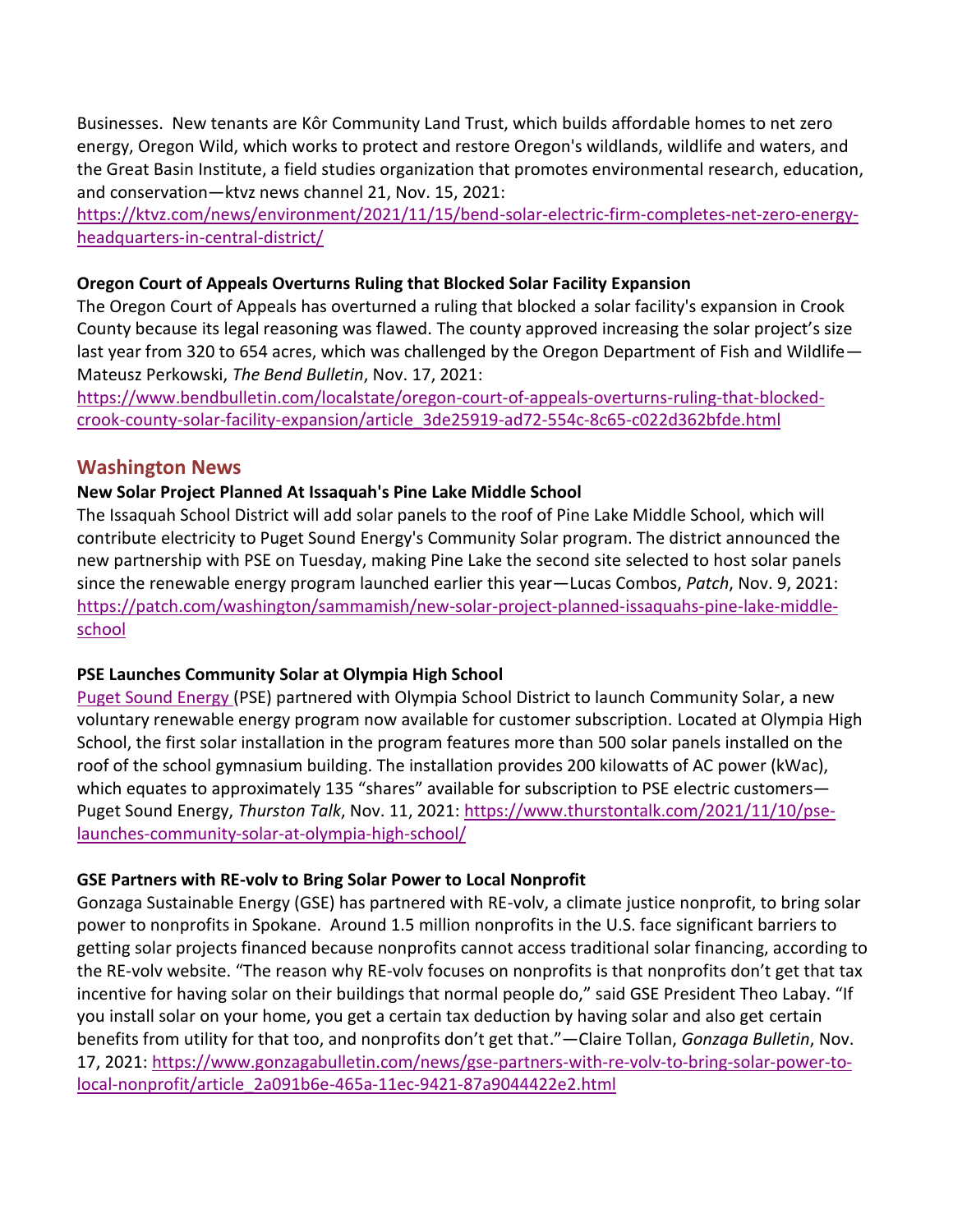Businesses. New tenants are Kôr Community Land Trust, which builds affordable homes to net zero energy, Oregon Wild, which works to protect and restore Oregon's wildlands, wildlife and waters, and the Great Basin Institute, a field studies organization that promotes environmental research, education, and conservation—ktvz news channel 21, Nov. 15, 2021:

[https://ktvz.com/news/environment/2021/11/15/bend-solar-electric-firm-completes-net-zero-energy](https://ktvz.com/news/environment/2021/11/15/bend-solar-electric-firm-completes-net-zero-energy-headquarters-in-central-district/)[headquarters-in-central-district/](https://ktvz.com/news/environment/2021/11/15/bend-solar-electric-firm-completes-net-zero-energy-headquarters-in-central-district/)

#### **Oregon Court of Appeals Overturns Ruling that Blocked Solar Facility Expansion**

The Oregon Court of Appeals has overturned a ruling that blocked a solar facility's expansion in Crook County because its legal reasoning was flawed. The county approved increasing the solar project's size last year from 320 to 654 acres, which was challenged by the Oregon Department of Fish and Wildlife— Mateusz Perkowski, *The Bend Bulletin*, Nov. 17, 2021:

[https://www.bendbulletin.com/localstate/oregon-court-of-appeals-overturns-ruling-that-blocked](https://www.bendbulletin.com/localstate/oregon-court-of-appeals-overturns-ruling-that-blocked-crook-county-solar-facility-expansion/article_3de25919-ad72-554c-8c65-c022d362bfde.html)[crook-county-solar-facility-expansion/article\\_3de25919-ad72-554c-8c65-c022d362bfde.html](https://www.bendbulletin.com/localstate/oregon-court-of-appeals-overturns-ruling-that-blocked-crook-county-solar-facility-expansion/article_3de25919-ad72-554c-8c65-c022d362bfde.html)

### **Washington News**

### **New Solar Project Planned At Issaquah's Pine Lake Middle School**

The Issaquah School District will add solar panels to the roof of Pine Lake Middle School, which will contribute electricity to Puget Sound Energy's Community Solar program. The district announced the new partnership with PSE on Tuesday, making Pine Lake the second site selected to host solar panels since the renewable energy program launched earlier this year—Lucas Combos, *Patch*, Nov. 9, 2021: [https://patch.com/washington/sammamish/new-solar-project-planned-issaquahs-pine-lake-middle](https://patch.com/washington/sammamish/new-solar-project-planned-issaquahs-pine-lake-middle-school)[school](https://patch.com/washington/sammamish/new-solar-project-planned-issaquahs-pine-lake-middle-school)

### **PSE Launches Community Solar at Olympia High School**

[Puget Sound Energy](http://pse.com/Pages/default.aspx) (PSE) partnered with Olympia School District to launch Community Solar, a new voluntary renewable energy program now available for customer subscription. Located at Olympia High School, the first solar installation in the program features more than 500 solar panels installed on the roof of the school gymnasium building. The installation provides 200 kilowatts of AC power (kWac), which equates to approximately 135 "shares" available for subscription to PSE electric customers-Puget Sound Energy, *Thurston Talk*, Nov. 11, 2021: [https://www.thurstontalk.com/2021/11/10/pse](https://www.thurstontalk.com/2021/11/10/pse-launches-community-solar-at-olympia-high-school/)[launches-community-solar-at-olympia-high-school/](https://www.thurstontalk.com/2021/11/10/pse-launches-community-solar-at-olympia-high-school/)

#### **GSE Partners with RE-volv to Bring Solar Power to Local Nonprofit**

Gonzaga Sustainable Energy (GSE) has partnered with RE-volv, a climate justice nonprofit, to bring solar power to nonprofits in Spokane. Around 1.5 million nonprofits in the U.S. face significant barriers to getting solar projects financed because nonprofits cannot access traditional solar financing, according to the RE-volv website. "The reason why RE-volv focuses on nonprofits is that nonprofits don't get that tax incentive for having solar on their buildings that normal people do," said GSE President Theo Labay. "If you install solar on your home, you get a certain tax deduction by having solar and also get certain benefits from utility for that too, and nonprofits don't get that."—Claire Tollan, *Gonzaga Bulletin*, Nov. 17, 2021: [https://www.gonzagabulletin.com/news/gse-partners-with-re-volv-to-bring-solar-power-to](https://www.gonzagabulletin.com/news/gse-partners-with-re-volv-to-bring-solar-power-to-local-nonprofit/article_2a091b6e-465a-11ec-9421-87a9044422e2.html)[local-nonprofit/article\\_2a091b6e-465a-11ec-9421-87a9044422e2.html](https://www.gonzagabulletin.com/news/gse-partners-with-re-volv-to-bring-solar-power-to-local-nonprofit/article_2a091b6e-465a-11ec-9421-87a9044422e2.html)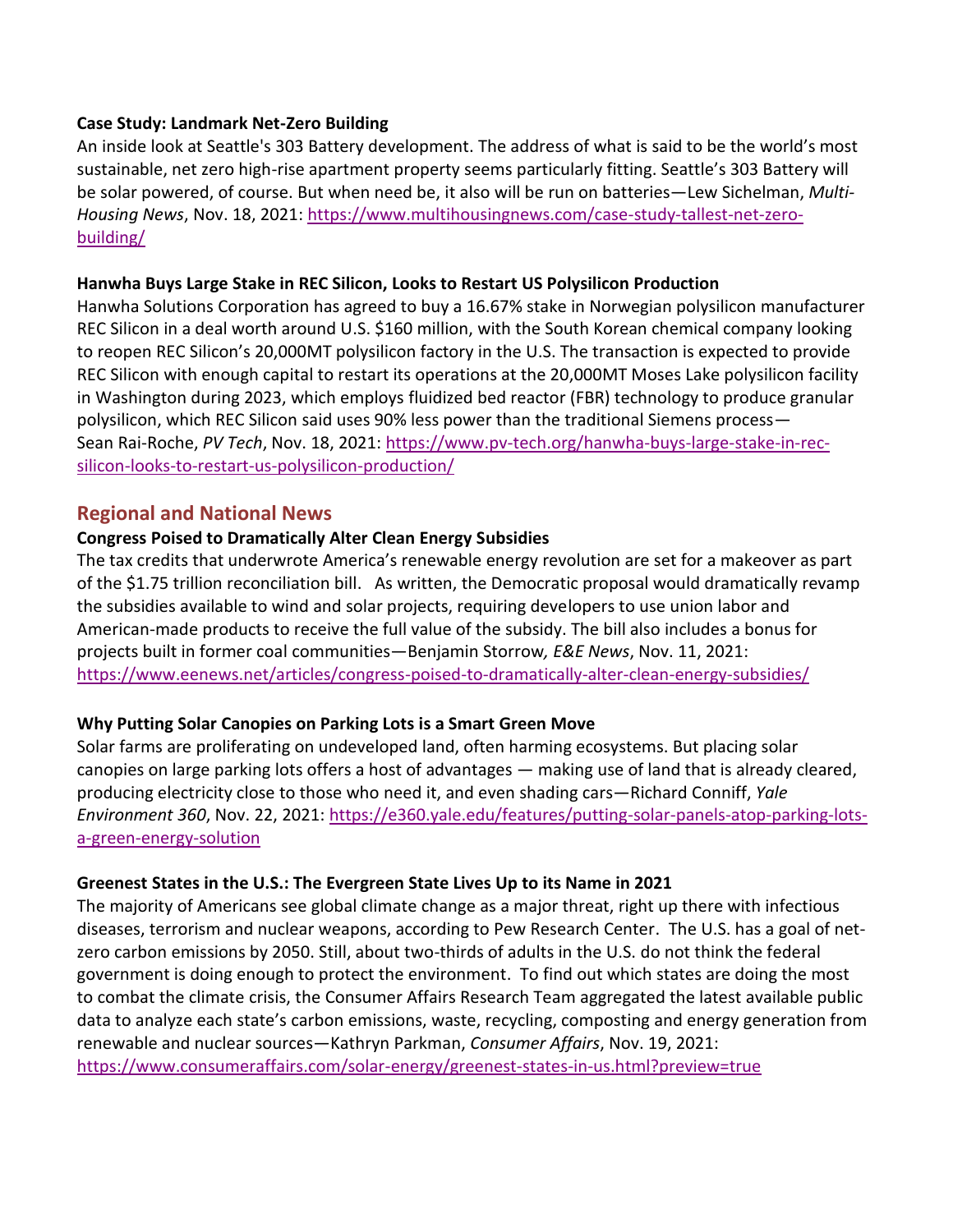#### **Case Study: Landmark Net-Zero Building**

An inside look at Seattle's 303 Battery development. The address of what is said to be the world's most sustainable, net zero high-rise apartment property seems particularly fitting. Seattle's 303 Battery will be solar powered, of course. But when need be, it also will be run on batteries—Lew Sichelman, *Multi-Housing News*, Nov. 18, 2021: [https://www.multihousingnews.com/case-study-tallest-net-zero](https://www.multihousingnews.com/case-study-tallest-net-zero-building/)[building/](https://www.multihousingnews.com/case-study-tallest-net-zero-building/)

#### **Hanwha Buys Large Stake in REC Silicon, Looks to Restart US Polysilicon Production**

Hanwha Solutions Corporation has agreed to buy a 16.67% stake in Norwegian polysilicon manufacturer REC Silicon in a deal worth around U.S. \$160 million, with the South Korean chemical company looking to reopen REC Silicon's 20,000MT polysilicon factory in the U.S. The transaction is expected to provide REC Silicon with enough capital to restart its operations at the 20,000MT Moses Lake polysilicon facility in Washington during 2023, which employs fluidized bed reactor (FBR) technology to produce granular polysilicon, which REC Silicon said uses 90% less power than the traditional Siemens process— Sean Rai-Roche, *PV Tech*, Nov. 18, 2021: [https://www.pv-tech.org/hanwha-buys-large-stake-in-rec](https://www.pv-tech.org/hanwha-buys-large-stake-in-rec-silicon-looks-to-restart-us-polysilicon-production/)[silicon-looks-to-restart-us-polysilicon-production/](https://www.pv-tech.org/hanwha-buys-large-stake-in-rec-silicon-looks-to-restart-us-polysilicon-production/)

### **Regional and National News**

### **Congress Poised to Dramatically Alter Clean Energy Subsidies**

The tax credits that underwrote America's renewable energy revolution are set for a makeover as part of the \$1.75 trillion reconciliation bill. As written, the Democratic proposal would dramatically revamp the subsidies available to wind and solar projects, requiring developers to use union labor and American-made products to receive the full value of the subsidy. The bill also includes a bonus for projects built in former coal communities—Benjamin Storrow*, E&E News*, Nov. 11, 2021: <https://www.eenews.net/articles/congress-poised-to-dramatically-alter-clean-energy-subsidies/>

### **Why Putting Solar Canopies on Parking Lots is a Smart Green Move**

Solar farms are proliferating on undeveloped land, often harming ecosystems. But placing solar canopies on large parking lots offers a host of advantages — making use of land that is already cleared, producing electricity close to those who need it, and even shading cars—Richard Conniff, *Yale Environment 360*, Nov. 22, 2021: [https://e360.yale.edu/features/putting-solar-panels-atop-parking-lots](https://e360.yale.edu/features/putting-solar-panels-atop-parking-lots-a-green-energy-solution)[a-green-energy-solution](https://e360.yale.edu/features/putting-solar-panels-atop-parking-lots-a-green-energy-solution)

### **Greenest States in the U.S.: The Evergreen State Lives Up to its Name in 2021**

The majority of Americans see global climate change as a major threat, right up there with infectious diseases, terrorism and nuclear weapons, according to Pew Research Center. The U.S. has a goal of netzero carbon emissions by 2050. Still, about two-thirds of adults in the U.S. do not think the federal government is doing enough to protect the environment. To find out which states are doing the most to combat the climate crisis, the Consumer Affairs Research Team aggregated the latest available public data to analyze each state's carbon emissions, waste, recycling, composting and energy generation from renewable and nuclear sources—Kathryn Parkman, *Consumer Affairs*, Nov. 19, 2021: <https://www.consumeraffairs.com/solar-energy/greenest-states-in-us.html?preview=true>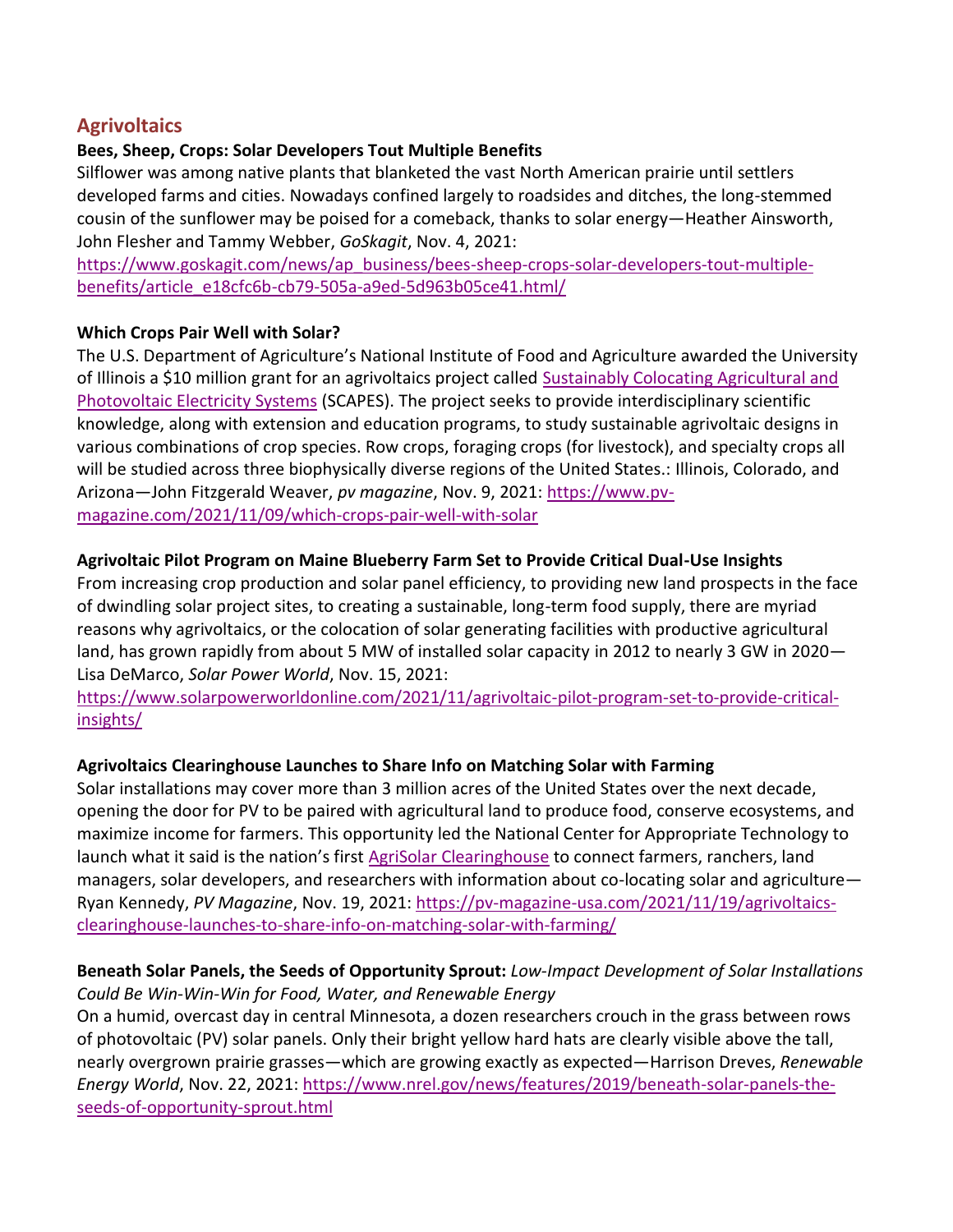# **Agrivoltaics**

#### **Bees, Sheep, Crops: Solar Developers Tout Multiple Benefits**

Silflower was among native plants that blanketed the vast North American prairie until settlers developed farms and cities. Nowadays confined largely to roadsides and ditches, the long-stemmed cousin of the sunflower may be poised for a comeback, thanks to solar energy—Heather Ainsworth, John Flesher and Tammy Webber, *GoSkagit*, Nov. 4, 2021:

[https://www.goskagit.com/news/ap\\_business/bees-sheep-crops-solar-developers-tout-multiple](https://www.goskagit.com/news/ap_business/bees-sheep-crops-solar-developers-tout-multiple-benefits/article_e18cfc6b-cb79-505a-a9ed-5d963b05ce41.html/)[benefits/article\\_e18cfc6b-cb79-505a-a9ed-5d963b05ce41.html/](https://www.goskagit.com/news/ap_business/bees-sheep-crops-solar-developers-tout-multiple-benefits/article_e18cfc6b-cb79-505a-a9ed-5d963b05ce41.html/)

#### **Which Crops Pair Well with Solar?**

The U.S. Department of Agriculture's National Institute of Food and Agriculture awarded the University of Illinois a \$10 million grant for an agrivoltaics project called [Sustainably Colocating Agricultural and](https://cris.nifa.usda.gov/cgi-bin/starfinder/0?path=fastlink1.txt&id=anon&pass=&search=R=94424&format=WEBLINK)  [Photovoltaic Electricity Systems](https://cris.nifa.usda.gov/cgi-bin/starfinder/0?path=fastlink1.txt&id=anon&pass=&search=R=94424&format=WEBLINK) (SCAPES). The project seeks to provide interdisciplinary scientific knowledge, along with extension and education programs, to study sustainable agrivoltaic designs in various combinations of crop species. Row crops, foraging crops (for livestock), and specialty crops all will be studied across three biophysically diverse regions of the United States.: Illinois, Colorado, and Arizona—John Fitzgerald Weaver, *pv magazine*, Nov. 9, 2021: [https://www.pv](https://www.pv-magazine.com/2021/11/09/which-crops-pair-well-with-solar)[magazine.com/2021/11/09/which-crops-pair-well-with-solar](https://www.pv-magazine.com/2021/11/09/which-crops-pair-well-with-solar)

#### **Agrivoltaic Pilot Program on Maine Blueberry Farm Set to Provide Critical Dual-Use Insights**

From increasing crop production and solar panel efficiency, to providing new land prospects in the face of dwindling solar project sites, to creating a sustainable, long-term food supply, there are myriad reasons why agrivoltaics, or the colocation of solar generating facilities with productive agricultural land, has grown rapidly from about 5 MW of installed solar capacity in 2012 to nearly 3 GW in 2020— Lisa DeMarco, *Solar Power World*, Nov. 15, 2021:

[https://www.solarpowerworldonline.com/2021/11/agrivoltaic-pilot-program-set-to-provide-critical](https://www.solarpowerworldonline.com/2021/11/agrivoltaic-pilot-program-set-to-provide-critical-insights/)[insights/](https://www.solarpowerworldonline.com/2021/11/agrivoltaic-pilot-program-set-to-provide-critical-insights/)

### **Agrivoltaics Clearinghouse Launches to Share Info on Matching Solar with Farming**

Solar installations may cover more than 3 million acres of the United States over the next decade, opening the door for PV to be paired with agricultural land to produce food, conserve ecosystems, and maximize income for farmers. This opportunity led the National Center for Appropriate Technology to launch what it said is the nation's first [AgriSolar Clearinghouse](https://www.agrisolarclearinghouse.org/) to connect farmers, ranchers, land managers, solar developers, and researchers with information about co-locating solar and agriculture— Ryan Kennedy, *PV Magazine*, Nov. 19, 2021: [https://pv-magazine-usa.com/2021/11/19/agrivoltaics](https://pv-magazine-usa.com/2021/11/19/agrivoltaics-clearinghouse-launches-to-share-info-on-matching-solar-with-farming/)[clearinghouse-launches-to-share-info-on-matching-solar-with-farming/](https://pv-magazine-usa.com/2021/11/19/agrivoltaics-clearinghouse-launches-to-share-info-on-matching-solar-with-farming/)

### **Beneath Solar Panels, the Seeds of Opportunity Sprout:** *Low-Impact Development of Solar Installations Could Be Win-Win-Win for Food, Water, and Renewable Energy*

On a humid, overcast day in central Minnesota, a dozen researchers crouch in the grass between rows of photovoltaic (PV) solar panels. Only their bright yellow hard hats are clearly visible above the tall, nearly overgrown prairie grasses—which are growing exactly as expected—Harrison Dreves, *Renewable Energy World*, Nov. 22, 2021: [https://www.nrel.gov/news/features/2019/beneath-solar-panels-the](https://www.nrel.gov/news/features/2019/beneath-solar-panels-the-seeds-of-opportunity-sprout.html)[seeds-of-opportunity-sprout.html](https://www.nrel.gov/news/features/2019/beneath-solar-panels-the-seeds-of-opportunity-sprout.html)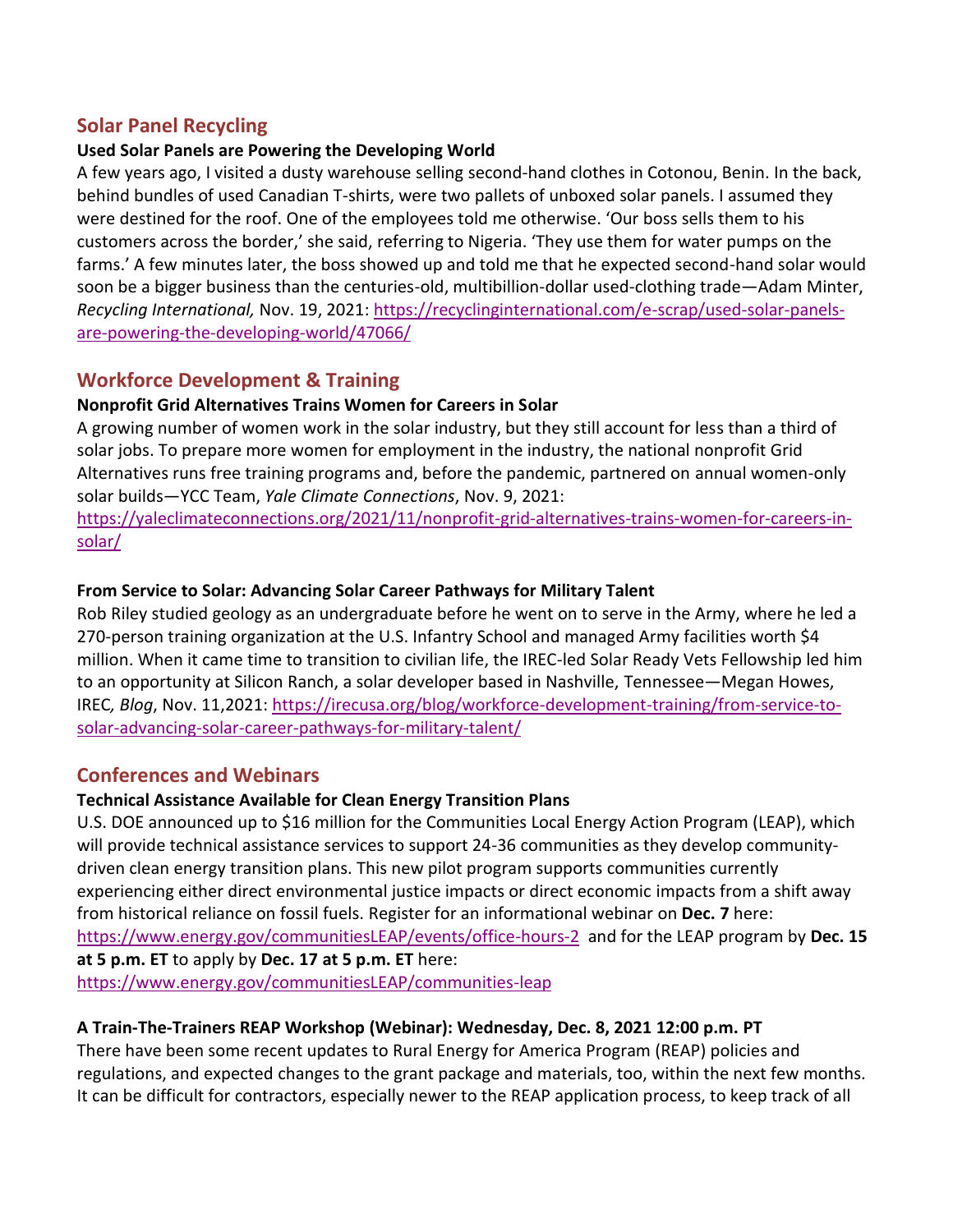# **Solar Panel Recycling**

### **Used Solar Panels are Powering the Developing World**

A few years ago, I visited a dusty warehouse selling second-hand clothes in Cotonou, Benin. In the back, behind bundles of used Canadian T-shirts, were two pallets of unboxed solar panels. I assumed they were destined for the roof. One of the employees told me otherwise. 'Our boss sells them to his customers across the border,' she said, referring to Nigeria. 'They use them for water pumps on the farms.' A few minutes later, the boss showed up and told me that he expected second-hand solar would soon be a bigger business than the centuries-old, multibillion-dollar used-clothing trade—Adam Minter, *Recycling International,* Nov. 19, 2021: [https://recyclinginternational.com/e-scrap/used-solar-panels](https://recyclinginternational.com/e-scrap/used-solar-panels-are-powering-the-developing-world/47066/)[are-powering-the-developing-world/47066/](https://recyclinginternational.com/e-scrap/used-solar-panels-are-powering-the-developing-world/47066/)

# **Workforce Development & Training**

### **Nonprofit Grid Alternatives Trains Women for Careers in Solar**

A growing number of women work in the solar industry, but they still account for less than a third of solar jobs. To prepare more women for employment in the industry, the national nonprofit Grid Alternatives runs free training programs and, before the pandemic, partnered on annual women-only solar builds—YCC Team, *Yale Climate Connections*, Nov. 9, 2021:

[https://yaleclimateconnections.org/2021/11/nonprofit-grid-alternatives-trains-women-for-careers-in](https://yaleclimateconnections.org/2021/11/nonprofit-grid-alternatives-trains-women-for-careers-in-solar/)[solar/](https://yaleclimateconnections.org/2021/11/nonprofit-grid-alternatives-trains-women-for-careers-in-solar/)

### **From Service to Solar: Advancing Solar Career Pathways for Military Talent**

Rob Riley studied geology as an undergraduate before he went on to serve in the Army, where he led a 270-person training organization at the U.S. Infantry School and managed Army facilities worth \$4 million. When it came time to transition to civilian life, the IREC-led Solar Ready Vets Fellowship led him to an opportunity at Silicon Ranch, a solar developer based in Nashville, Tennessee—Megan Howes, IREC*, Blog*, Nov. 11,2021: [https://irecusa.org/blog/workforce-development-training/from-service-to](https://irecusa.org/blog/workforce-development-training/from-service-to-solar-advancing-solar-career-pathways-for-military-talent/)[solar-advancing-solar-career-pathways-for-military-talent/](https://irecusa.org/blog/workforce-development-training/from-service-to-solar-advancing-solar-career-pathways-for-military-talent/)

# **Conferences and Webinars**

### **[Technical Assistance Available for Clean Energy Transition Plans](https://lnks.gd/l/eyJhbGciOiJIUzI1NiJ9.eyJidWxsZXRpbl9saW5rX2lkIjoxMDUsInVyaSI6ImJwMjpjbGljayIsImJ1bGxldGluX2lkIjoiMjAyMTExMTUuNDg4OTM1MDEiLCJ1cmwiOiJodHRwczovL3d3dy5lbmVyZ3kuZ292L2NvbW11bml0aWVzTEVBUC9jb21tdW5pdGllcy1sZWFwIn0.2ZfEi9k-6P551QIL73E3GOT3w_UwsQn1Eag5beVNAew/s/166761740/br/121006163612-l)**

U.S. DOE announced up to \$16 million for the Communities Local Energy Action Program (LEAP), which will provide technical assistance services to support 24-36 communities as they develop communitydriven clean energy transition plans. This new pilot program supports communities currently experiencing either direct environmental justice impacts or direct economic impacts from a shift away from historical reliance on fossil fuels. [Register for an informational webinar](https://lnks.gd/l/eyJhbGciOiJIUzI1NiJ9.eyJidWxsZXRpbl9saW5rX2lkIjoxMDYsInVyaSI6ImJwMjpjbGljayIsImJ1bGxldGluX2lkIjoiMjAyMTExMTUuNDg4OTM1MDEiLCJ1cmwiOiJodHRwczovL3d3dy56b29tZ292LmNvbS93ZWJpbmFyL3JlZ2lzdGVyL1dOX21mREhYYlphVHJpLW8yV1hlU3k0Z3cifQ.V-T85fGJuAwMoqqypf6bMTDlkTmhNHUDW8dtrE6WIk0/s/166761740/br/121006163612-l) on **Dec. 7** here: <https://www.energy.gov/communitiesLEAP/events/office-hours-2> and for the LEAP program by **Dec. 15 at 5 p.m. ET** to apply by **Dec. 17 at 5 p.m. ET** here: <https://www.energy.gov/communitiesLEAP/communities-leap>

# **A Train-The-Trainers REAP Workshop (Webinar): Wednesday, Dec. 8, 2021 12:00 p.m. PT**

There have been some recent updates to Rural Energy for America Program (REAP) policies and regulations, and expected changes to the grant package and materials, too, within the next few months. It can be difficult for contractors, especially newer to the REAP application process, to keep track of all